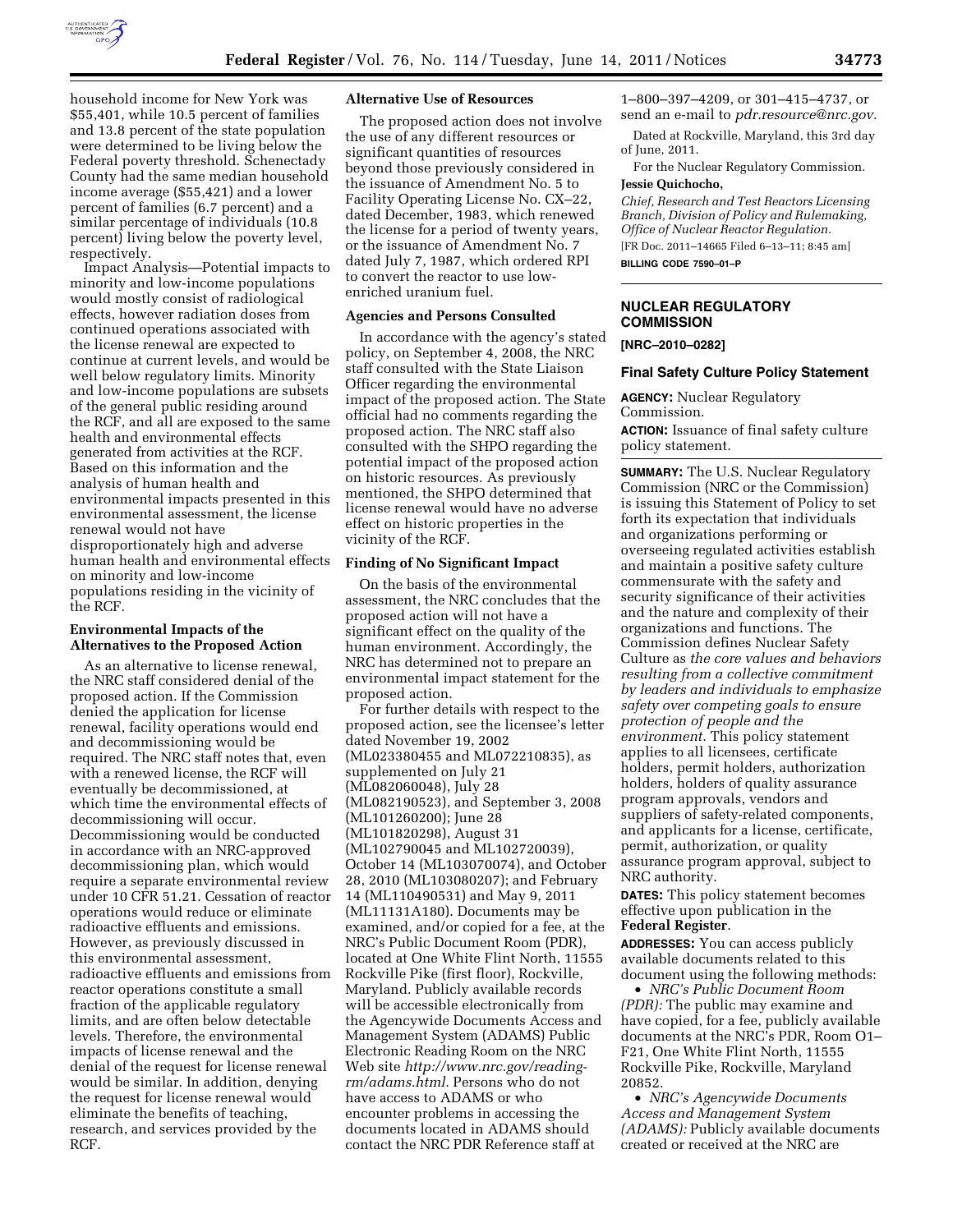

household income for New York was \$55,401, while 10.5 percent of families and 13.8 percent of the state population were determined to be living below the Federal poverty threshold. Schenectady County had the same median household income average (\$55,421) and a lower percent of families (6.7 percent) and a similar percentage of individuals (10.8 percent) living below the poverty level, respectively.

Impact Analysis—Potential impacts to minority and low-income populations would mostly consist of radiological effects, however radiation doses from continued operations associated with the license renewal are expected to continue at current levels, and would be well below regulatory limits. Minority and low-income populations are subsets of the general public residing around the RCF, and all are exposed to the same health and environmental effects generated from activities at the RCF. Based on this information and the analysis of human health and environmental impacts presented in this environmental assessment, the license renewal would not have disproportionately high and adverse human health and environmental effects on minority and low-income populations residing in the vicinity of the RCF.

### **Environmental Impacts of the Alternatives to the Proposed Action**

As an alternative to license renewal, the NRC staff considered denial of the proposed action. If the Commission denied the application for license renewal, facility operations would end and decommissioning would be required. The NRC staff notes that, even with a renewed license, the RCF will eventually be decommissioned, at which time the environmental effects of decommissioning will occur. Decommissioning would be conducted in accordance with an NRC-approved decommissioning plan, which would require a separate environmental review under 10 CFR 51.21. Cessation of reactor operations would reduce or eliminate radioactive effluents and emissions. However, as previously discussed in this environmental assessment, radioactive effluents and emissions from reactor operations constitute a small fraction of the applicable regulatory limits, and are often below detectable levels. Therefore, the environmental impacts of license renewal and the denial of the request for license renewal would be similar. In addition, denying the request for license renewal would eliminate the benefits of teaching, research, and services provided by the RCF.

### **Alternative Use of Resources**

The proposed action does not involve the use of any different resources or significant quantities of resources beyond those previously considered in the issuance of Amendment No. 5 to Facility Operating License No. CX–22, dated December, 1983, which renewed the license for a period of twenty years, or the issuance of Amendment No. 7 dated July 7, 1987, which ordered RPI to convert the reactor to use lowenriched uranium fuel.

# **Agencies and Persons Consulted**

In accordance with the agency's stated policy, on September 4, 2008, the NRC staff consulted with the State Liaison Officer regarding the environmental impact of the proposed action. The State official had no comments regarding the proposed action. The NRC staff also consulted with the SHPO regarding the potential impact of the proposed action on historic resources. As previously mentioned, the SHPO determined that license renewal would have no adverse effect on historic properties in the vicinity of the RCF.

#### **Finding of No Significant Impact**

On the basis of the environmental assessment, the NRC concludes that the proposed action will not have a significant effect on the quality of the human environment. Accordingly, the NRC has determined not to prepare an environmental impact statement for the proposed action.

For further details with respect to the proposed action, see the licensee's letter dated November 19, 2002 (ML023380455 and ML072210835), as supplemented on July 21 (ML082060048), July 28 (ML082190523), and September 3, 2008 (ML101260200); June 28 (ML101820298), August 31 (ML102790045 and ML102720039), October 14 (ML103070074), and October 28, 2010 (ML103080207); and February 14 (ML110490531) and May 9, 2011 (ML11131A180). Documents may be examined, and/or copied for a fee, at the NRC's Public Document Room (PDR), located at One White Flint North, 11555 Rockville Pike (first floor), Rockville, Maryland. Publicly available records will be accessible electronically from the Agencywide Documents Access and Management System (ADAMS) Public Electronic Reading Room on the NRC Web site *[http://www.nrc.gov/reading](http://www.nrc.gov/reading-rm/adams.html)[rm/adams.html](http://www.nrc.gov/reading-rm/adams.html)*. Persons who do not have access to ADAMS or who encounter problems in accessing the documents located in ADAMS should contact the NRC PDR Reference staff at

1–800–397–4209, or 301–415–4737, or send an e-mail to *[pdr.resource@nrc.gov.](mailto:pdr.resource@nrc.gov)* 

Dated at Rockville, Maryland, this 3rd day of June, 2011.

For the Nuclear Regulatory Commission. **Jessie Quichocho,** 

*Chief, Research and Test Reactors Licensing Branch, Division of Policy and Rulemaking, Office of Nuclear Reactor Regulation.*  [FR Doc. 2011–14665 Filed 6–13–11; 8:45 am] **BILLING CODE 7590–01–P** 

**NUCLEAR REGULATORY COMMISSION** 

#### **[NRC–2010–0282]**

#### **Final Safety Culture Policy Statement**

**AGENCY:** Nuclear Regulatory Commission.

**ACTION:** Issuance of final safety culture policy statement.

**SUMMARY:** The U.S. Nuclear Regulatory Commission (NRC or the Commission) is issuing this Statement of Policy to set forth its expectation that individuals and organizations performing or overseeing regulated activities establish and maintain a positive safety culture commensurate with the safety and security significance of their activities and the nature and complexity of their organizations and functions. The Commission defines Nuclear Safety Culture as *the core values and behaviors resulting from a collective commitment by leaders and individuals to emphasize safety over competing goals to ensure protection of people and the environment.* This policy statement applies to all licensees, certificate holders, permit holders, authorization holders, holders of quality assurance program approvals, vendors and suppliers of safety-related components, and applicants for a license, certificate, permit, authorization, or quality assurance program approval, subject to NRC authority.

**DATES:** This policy statement becomes effective upon publication in the **Federal Register**.

**ADDRESSES:** You can access publicly available documents related to this document using the following methods:

• *NRC's Public Document Room (PDR):* The public may examine and have copied, for a fee, publicly available documents at the NRC's PDR, Room O1– F21, One White Flint North, 11555 Rockville Pike, Rockville, Maryland 20852.

• *NRC's Agencywide Documents Access and Management System (ADAMS):* Publicly available documents created or received at the NRC are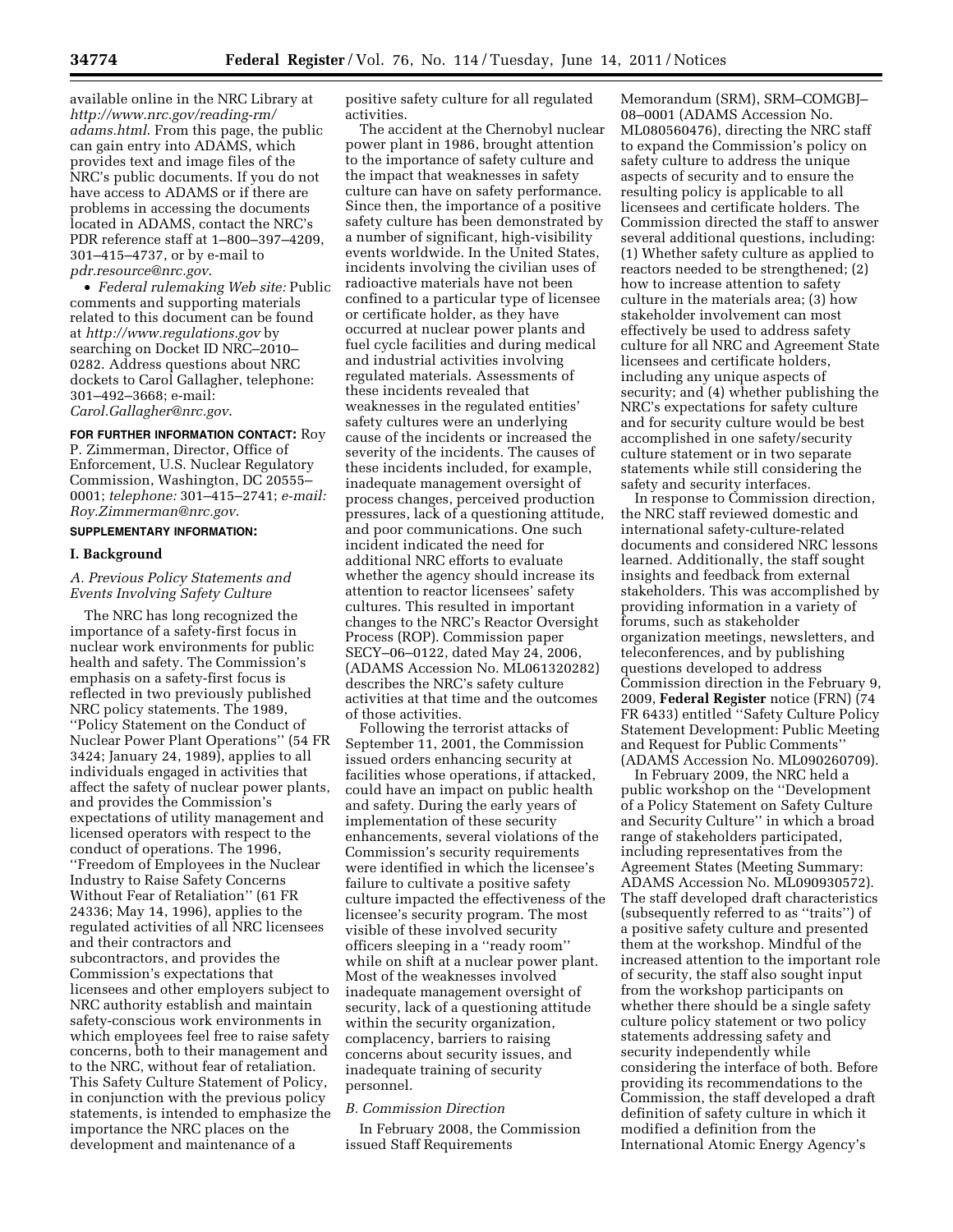available online in the NRC Library at *[http://www.nrc.gov/reading-rm/](http://www.nrc.gov/reading-rm/adams.html)  [adams.html](http://www.nrc.gov/reading-rm/adams.html)*. From this page, the public can gain entry into ADAMS, which provides text and image files of the NRC's public documents. If you do not have access to ADAMS or if there are problems in accessing the documents located in ADAMS, contact the NRC's PDR reference staff at 1–800–397–4209, 301–415–4737, or by e-mail to *[pdr.resource@nrc.gov](mailto:pdr.resource@nrc.gov)*.

• *Federal rulemaking Web site:* Public comments and supporting materials related to this document can be found at *<http://www.regulations.gov>* by searching on Docket ID NRC–2010– 0282. Address questions about NRC dockets to Carol Gallagher, telephone: 301–492–3668; e-mail: *[Carol.Gallagher@nrc.gov](mailto:Carol.Gallagher@nrc.gov)*.

# **FOR FURTHER INFORMATION CONTACT:** Roy P. Zimmerman, Director, Office of Enforcement, U.S. Nuclear Regulatory Commission, Washington, DC 20555– 0001; *telephone:* 301–415–2741; *e-mail: [Roy.Zimmerman@nrc.gov](mailto:Roy.Zimmerman@nrc.gov)*.

### **SUPPLEMENTARY INFORMATION:**

#### **I. Background**

### *A. Previous Policy Statements and Events Involving Safety Culture*

The NRC has long recognized the importance of a safety-first focus in nuclear work environments for public health and safety. The Commission's emphasis on a safety-first focus is reflected in two previously published NRC policy statements. The 1989, ''Policy Statement on the Conduct of Nuclear Power Plant Operations'' (54 FR 3424; January 24, 1989), applies to all individuals engaged in activities that affect the safety of nuclear power plants, and provides the Commission's expectations of utility management and licensed operators with respect to the conduct of operations. The 1996, ''Freedom of Employees in the Nuclear Industry to Raise Safety Concerns Without Fear of Retaliation'' (61 FR 24336; May 14, 1996), applies to the regulated activities of all NRC licensees and their contractors and subcontractors, and provides the Commission's expectations that licensees and other employers subject to NRC authority establish and maintain safety-conscious work environments in which employees feel free to raise safety concerns, both to their management and to the NRC, without fear of retaliation. This Safety Culture Statement of Policy, in conjunction with the previous policy statements, is intended to emphasize the importance the NRC places on the development and maintenance of a

positive safety culture for all regulated activities.

The accident at the Chernobyl nuclear power plant in 1986, brought attention to the importance of safety culture and the impact that weaknesses in safety culture can have on safety performance. Since then, the importance of a positive safety culture has been demonstrated by a number of significant, high-visibility events worldwide. In the United States, incidents involving the civilian uses of radioactive materials have not been confined to a particular type of licensee or certificate holder, as they have occurred at nuclear power plants and fuel cycle facilities and during medical and industrial activities involving regulated materials. Assessments of these incidents revealed that weaknesses in the regulated entities' safety cultures were an underlying cause of the incidents or increased the severity of the incidents. The causes of these incidents included, for example, inadequate management oversight of process changes, perceived production pressures, lack of a questioning attitude, and poor communications. One such incident indicated the need for additional NRC efforts to evaluate whether the agency should increase its attention to reactor licensees' safety cultures. This resulted in important changes to the NRC's Reactor Oversight Process (ROP). Commission paper SECY–06–0122, dated May 24, 2006, (ADAMS Accession No. ML061320282) describes the NRC's safety culture activities at that time and the outcomes of those activities.

Following the terrorist attacks of September 11, 2001, the Commission issued orders enhancing security at facilities whose operations, if attacked, could have an impact on public health and safety. During the early years of implementation of these security enhancements, several violations of the Commission's security requirements were identified in which the licensee's failure to cultivate a positive safety culture impacted the effectiveness of the licensee's security program. The most visible of these involved security officers sleeping in a ''ready room'' while on shift at a nuclear power plant. Most of the weaknesses involved inadequate management oversight of security, lack of a questioning attitude within the security organization, complacency, barriers to raising concerns about security issues, and inadequate training of security personnel.

### *B. Commission Direction*

In February 2008, the Commission issued Staff Requirements

Memorandum (SRM), SRM–COMGBJ– 08–0001 (ADAMS Accession No. ML080560476), directing the NRC staff to expand the Commission's policy on safety culture to address the unique aspects of security and to ensure the resulting policy is applicable to all licensees and certificate holders. The Commission directed the staff to answer several additional questions, including: (1) Whether safety culture as applied to reactors needed to be strengthened; (2) how to increase attention to safety culture in the materials area; (3) how stakeholder involvement can most effectively be used to address safety culture for all NRC and Agreement State licensees and certificate holders, including any unique aspects of security; and (4) whether publishing the NRC's expectations for safety culture and for security culture would be best accomplished in one safety/security culture statement or in two separate statements while still considering the safety and security interfaces.

In response to Commission direction, the NRC staff reviewed domestic and international safety-culture-related documents and considered NRC lessons learned. Additionally, the staff sought insights and feedback from external stakeholders. This was accomplished by providing information in a variety of forums, such as stakeholder organization meetings, newsletters, and teleconferences, and by publishing questions developed to address Commission direction in the February 9, 2009, **Federal Register** notice (FRN) (74 FR 6433) entitled ''Safety Culture Policy Statement Development: Public Meeting and Request for Public Comments'' (ADAMS Accession No. ML090260709).

In February 2009, the NRC held a public workshop on the ''Development of a Policy Statement on Safety Culture and Security Culture'' in which a broad range of stakeholders participated, including representatives from the Agreement States (Meeting Summary: ADAMS Accession No. ML090930572). The staff developed draft characteristics (subsequently referred to as ''traits'') of a positive safety culture and presented them at the workshop. Mindful of the increased attention to the important role of security, the staff also sought input from the workshop participants on whether there should be a single safety culture policy statement or two policy statements addressing safety and security independently while considering the interface of both. Before providing its recommendations to the Commission, the staff developed a draft definition of safety culture in which it modified a definition from the International Atomic Energy Agency's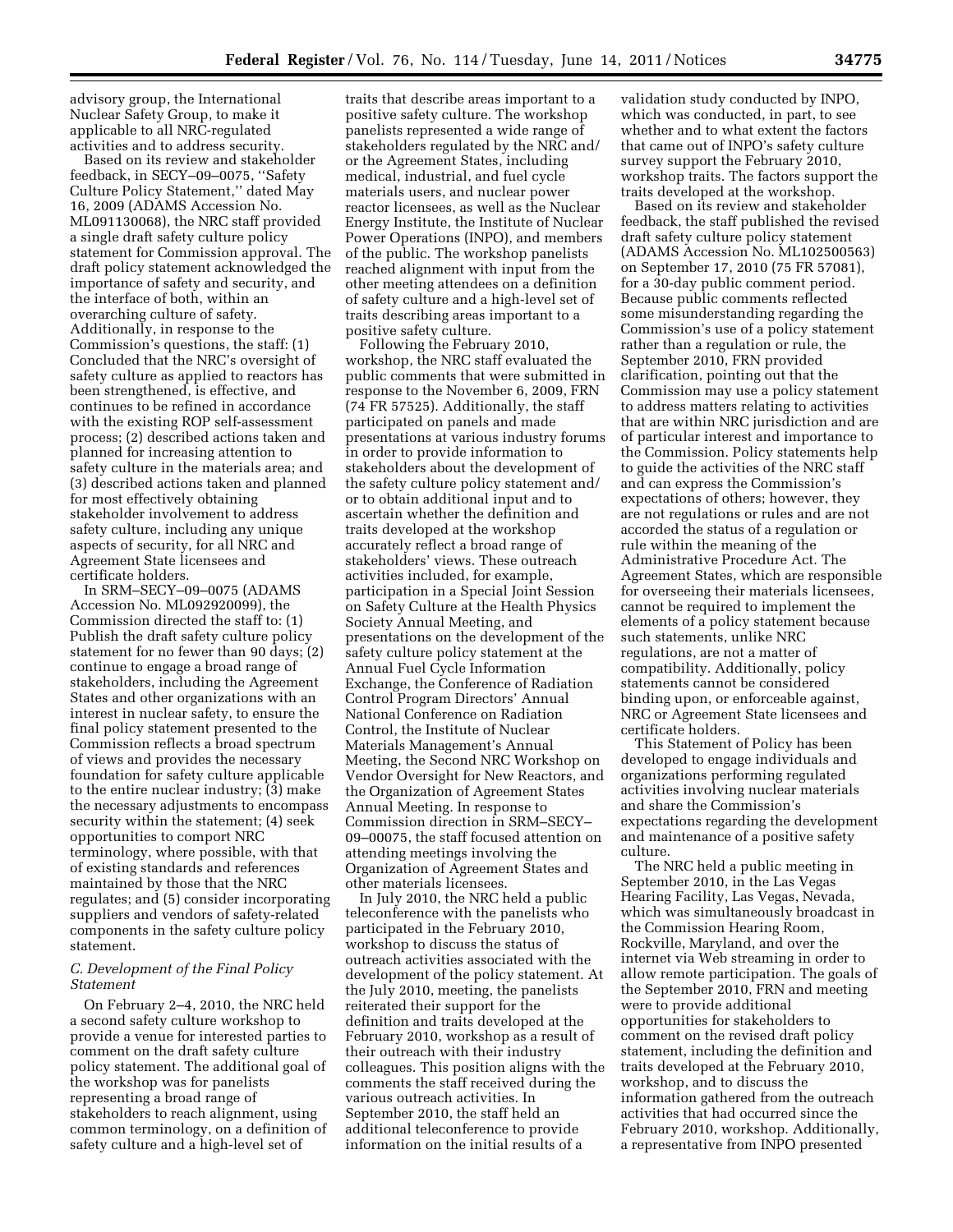advisory group, the International Nuclear Safety Group, to make it applicable to all NRC-regulated activities and to address security.

Based on its review and stakeholder feedback, in SECY–09–0075, ''Safety Culture Policy Statement,'' dated May 16, 2009 (ADAMS Accession No. ML091130068), the NRC staff provided a single draft safety culture policy statement for Commission approval. The draft policy statement acknowledged the importance of safety and security, and the interface of both, within an overarching culture of safety. Additionally, in response to the Commission's questions, the staff: (1) Concluded that the NRC's oversight of safety culture as applied to reactors has been strengthened, is effective, and continues to be refined in accordance with the existing ROP self-assessment process; (2) described actions taken and planned for increasing attention to safety culture in the materials area; and (3) described actions taken and planned for most effectively obtaining stakeholder involvement to address safety culture, including any unique aspects of security, for all NRC and Agreement State licensees and certificate holders.

In SRM–SECY–09–0075 (ADAMS Accession No. ML092920099), the Commission directed the staff to: (1) Publish the draft safety culture policy statement for no fewer than 90 days; (2) continue to engage a broad range of stakeholders, including the Agreement States and other organizations with an interest in nuclear safety, to ensure the final policy statement presented to the Commission reflects a broad spectrum of views and provides the necessary foundation for safety culture applicable to the entire nuclear industry; (3) make the necessary adjustments to encompass security within the statement; (4) seek opportunities to comport NRC terminology, where possible, with that of existing standards and references maintained by those that the NRC regulates; and (5) consider incorporating suppliers and vendors of safety-related components in the safety culture policy statement.

### *C. Development of the Final Policy Statement*

On February 2–4, 2010, the NRC held a second safety culture workshop to provide a venue for interested parties to comment on the draft safety culture policy statement. The additional goal of the workshop was for panelists representing a broad range of stakeholders to reach alignment, using common terminology, on a definition of safety culture and a high-level set of

traits that describe areas important to a positive safety culture. The workshop panelists represented a wide range of stakeholders regulated by the NRC and/ or the Agreement States, including medical, industrial, and fuel cycle materials users, and nuclear power reactor licensees, as well as the Nuclear Energy Institute, the Institute of Nuclear Power Operations (INPO), and members of the public. The workshop panelists reached alignment with input from the other meeting attendees on a definition of safety culture and a high-level set of traits describing areas important to a positive safety culture.

Following the February 2010, workshop, the NRC staff evaluated the public comments that were submitted in response to the November 6, 2009, FRN (74 FR 57525). Additionally, the staff participated on panels and made presentations at various industry forums in order to provide information to stakeholders about the development of the safety culture policy statement and/ or to obtain additional input and to ascertain whether the definition and traits developed at the workshop accurately reflect a broad range of stakeholders' views. These outreach activities included, for example, participation in a Special Joint Session on Safety Culture at the Health Physics Society Annual Meeting, and presentations on the development of the safety culture policy statement at the Annual Fuel Cycle Information Exchange, the Conference of Radiation Control Program Directors' Annual National Conference on Radiation Control, the Institute of Nuclear Materials Management's Annual Meeting, the Second NRC Workshop on Vendor Oversight for New Reactors, and the Organization of Agreement States Annual Meeting. In response to Commission direction in SRM–SECY– 09–00075, the staff focused attention on attending meetings involving the Organization of Agreement States and other materials licensees.

In July 2010, the NRC held a public teleconference with the panelists who participated in the February 2010, workshop to discuss the status of outreach activities associated with the development of the policy statement. At the July 2010, meeting, the panelists reiterated their support for the definition and traits developed at the February 2010, workshop as a result of their outreach with their industry colleagues. This position aligns with the comments the staff received during the various outreach activities. In September 2010, the staff held an additional teleconference to provide information on the initial results of a

validation study conducted by INPO, which was conducted, in part, to see whether and to what extent the factors that came out of INPO's safety culture survey support the February 2010, workshop traits. The factors support the traits developed at the workshop.

Based on its review and stakeholder feedback, the staff published the revised draft safety culture policy statement (ADAMS Accession No. ML102500563) on September 17, 2010 (75 FR 57081), for a 30-day public comment period. Because public comments reflected some misunderstanding regarding the Commission's use of a policy statement rather than a regulation or rule, the September 2010, FRN provided clarification, pointing out that the Commission may use a policy statement to address matters relating to activities that are within NRC jurisdiction and are of particular interest and importance to the Commission. Policy statements help to guide the activities of the NRC staff and can express the Commission's expectations of others; however, they are not regulations or rules and are not accorded the status of a regulation or rule within the meaning of the Administrative Procedure Act. The Agreement States, which are responsible for overseeing their materials licensees, cannot be required to implement the elements of a policy statement because such statements, unlike NRC regulations, are not a matter of compatibility. Additionally, policy statements cannot be considered binding upon, or enforceable against, NRC or Agreement State licensees and certificate holders.

This Statement of Policy has been developed to engage individuals and organizations performing regulated activities involving nuclear materials and share the Commission's expectations regarding the development and maintenance of a positive safety culture.

The NRC held a public meeting in September 2010, in the Las Vegas Hearing Facility, Las Vegas, Nevada, which was simultaneously broadcast in the Commission Hearing Room, Rockville, Maryland, and over the internet via Web streaming in order to allow remote participation. The goals of the September 2010, FRN and meeting were to provide additional opportunities for stakeholders to comment on the revised draft policy statement, including the definition and traits developed at the February 2010, workshop, and to discuss the information gathered from the outreach activities that had occurred since the February 2010, workshop. Additionally, a representative from INPO presented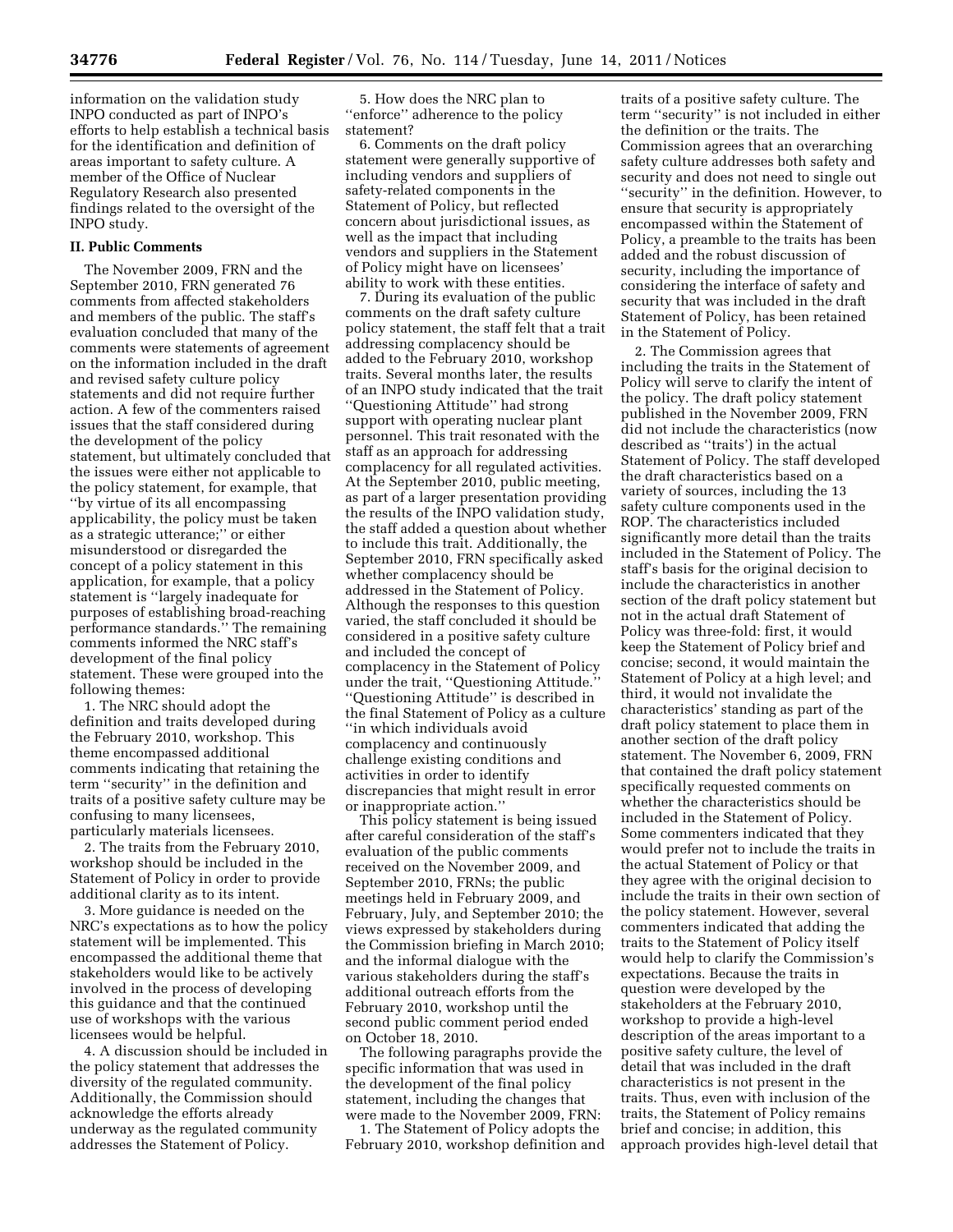information on the validation study INPO conducted as part of INPO's efforts to help establish a technical basis for the identification and definition of areas important to safety culture. A member of the Office of Nuclear Regulatory Research also presented findings related to the oversight of the INPO study.

# **II. Public Comments**

The November 2009, FRN and the September 2010, FRN generated 76 comments from affected stakeholders and members of the public. The staff's evaluation concluded that many of the comments were statements of agreement on the information included in the draft and revised safety culture policy statements and did not require further action. A few of the commenters raised issues that the staff considered during the development of the policy statement, but ultimately concluded that the issues were either not applicable to the policy statement, for example, that ''by virtue of its all encompassing applicability, the policy must be taken as a strategic utterance;'' or either misunderstood or disregarded the concept of a policy statement in this application, for example, that a policy statement is ''largely inadequate for purposes of establishing broad-reaching performance standards.'' The remaining comments informed the NRC staff's development of the final policy statement. These were grouped into the following themes:

1. The NRC should adopt the definition and traits developed during the February 2010, workshop. This theme encompassed additional comments indicating that retaining the term ''security'' in the definition and traits of a positive safety culture may be confusing to many licensees, particularly materials licensees.

2. The traits from the February 2010, workshop should be included in the Statement of Policy in order to provide additional clarity as to its intent.

3. More guidance is needed on the NRC's expectations as to how the policy statement will be implemented. This encompassed the additional theme that stakeholders would like to be actively involved in the process of developing this guidance and that the continued use of workshops with the various licensees would be helpful.

4. A discussion should be included in the policy statement that addresses the diversity of the regulated community. Additionally, the Commission should acknowledge the efforts already underway as the regulated community addresses the Statement of Policy.

5. How does the NRC plan to ''enforce'' adherence to the policy statement?

6. Comments on the draft policy statement were generally supportive of including vendors and suppliers of safety-related components in the Statement of Policy, but reflected concern about jurisdictional issues, as well as the impact that including vendors and suppliers in the Statement of Policy might have on licensees' ability to work with these entities.

7. During its evaluation of the public comments on the draft safety culture policy statement, the staff felt that a trait addressing complacency should be added to the February 2010, workshop traits. Several months later, the results of an INPO study indicated that the trait ''Questioning Attitude'' had strong support with operating nuclear plant personnel. This trait resonated with the staff as an approach for addressing complacency for all regulated activities. At the September 2010, public meeting, as part of a larger presentation providing the results of the INPO validation study, the staff added a question about whether to include this trait. Additionally, the September 2010, FRN specifically asked whether complacency should be addressed in the Statement of Policy. Although the responses to this question varied, the staff concluded it should be considered in a positive safety culture and included the concept of complacency in the Statement of Policy under the trait, ''Questioning Attitude.'' ''Questioning Attitude'' is described in the final Statement of Policy as a culture ''in which individuals avoid complacency and continuously challenge existing conditions and activities in order to identify discrepancies that might result in error or inappropriate action.''

This policy statement is being issued after careful consideration of the staff's evaluation of the public comments received on the November 2009, and September 2010, FRNs; the public meetings held in February 2009, and February, July, and September 2010; the views expressed by stakeholders during the Commission briefing in March 2010; and the informal dialogue with the various stakeholders during the staff's additional outreach efforts from the February 2010, workshop until the second public comment period ended on October 18, 2010.

The following paragraphs provide the specific information that was used in the development of the final policy statement, including the changes that were made to the November 2009, FRN:

1. The Statement of Policy adopts the February 2010, workshop definition and

traits of a positive safety culture. The term ''security'' is not included in either the definition or the traits. The Commission agrees that an overarching safety culture addresses both safety and security and does not need to single out ''security'' in the definition. However, to ensure that security is appropriately encompassed within the Statement of Policy, a preamble to the traits has been added and the robust discussion of security, including the importance of considering the interface of safety and security that was included in the draft Statement of Policy, has been retained in the Statement of Policy.

2. The Commission agrees that including the traits in the Statement of Policy will serve to clarify the intent of the policy. The draft policy statement published in the November 2009, FRN did not include the characteristics (now described as ''traits') in the actual Statement of Policy. The staff developed the draft characteristics based on a variety of sources, including the 13 safety culture components used in the ROP. The characteristics included significantly more detail than the traits included in the Statement of Policy. The staff's basis for the original decision to include the characteristics in another section of the draft policy statement but not in the actual draft Statement of Policy was three-fold: first, it would keep the Statement of Policy brief and concise; second, it would maintain the Statement of Policy at a high level; and third, it would not invalidate the characteristics' standing as part of the draft policy statement to place them in another section of the draft policy statement. The November 6, 2009, FRN that contained the draft policy statement specifically requested comments on whether the characteristics should be included in the Statement of Policy. Some commenters indicated that they would prefer not to include the traits in the actual Statement of Policy or that they agree with the original decision to include the traits in their own section of the policy statement. However, several commenters indicated that adding the traits to the Statement of Policy itself would help to clarify the Commission's expectations. Because the traits in question were developed by the stakeholders at the February 2010, workshop to provide a high-level description of the areas important to a positive safety culture, the level of detail that was included in the draft characteristics is not present in the traits. Thus, even with inclusion of the traits, the Statement of Policy remains brief and concise; in addition, this approach provides high-level detail that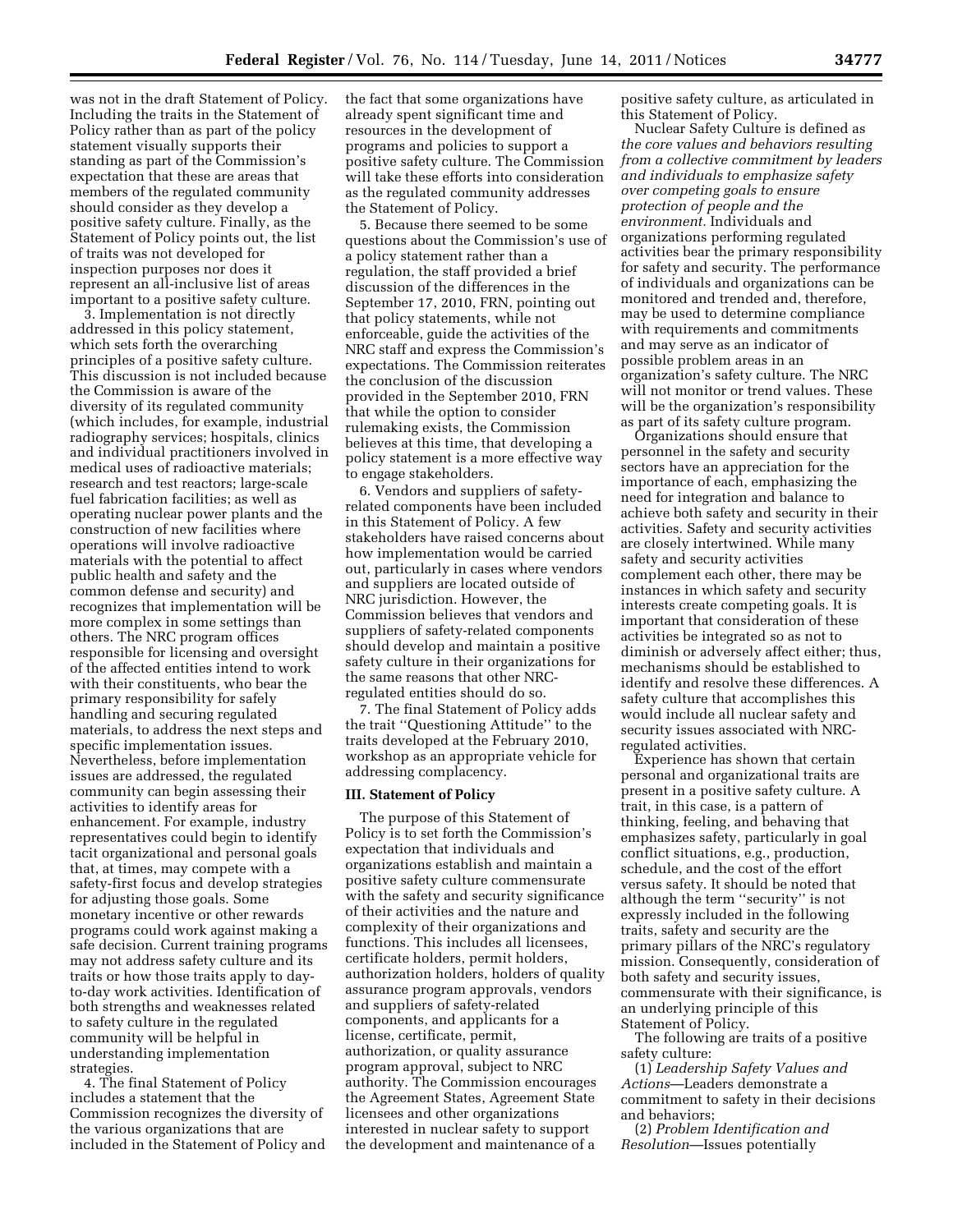was not in the draft Statement of Policy. Including the traits in the Statement of Policy rather than as part of the policy statement visually supports their standing as part of the Commission's expectation that these are areas that members of the regulated community should consider as they develop a positive safety culture. Finally, as the Statement of Policy points out, the list of traits was not developed for inspection purposes nor does it represent an all-inclusive list of areas important to a positive safety culture.

3. Implementation is not directly addressed in this policy statement, which sets forth the overarching principles of a positive safety culture. This discussion is not included because the Commission is aware of the diversity of its regulated community (which includes, for example, industrial radiography services; hospitals, clinics and individual practitioners involved in medical uses of radioactive materials; research and test reactors; large-scale fuel fabrication facilities; as well as operating nuclear power plants and the construction of new facilities where operations will involve radioactive materials with the potential to affect public health and safety and the common defense and security) and recognizes that implementation will be more complex in some settings than others. The NRC program offices responsible for licensing and oversight of the affected entities intend to work with their constituents, who bear the primary responsibility for safely handling and securing regulated materials, to address the next steps and specific implementation issues. Nevertheless, before implementation issues are addressed, the regulated community can begin assessing their activities to identify areas for enhancement. For example, industry representatives could begin to identify tacit organizational and personal goals that, at times, may compete with a safety-first focus and develop strategies for adjusting those goals. Some monetary incentive or other rewards programs could work against making a safe decision. Current training programs may not address safety culture and its traits or how those traits apply to dayto-day work activities. Identification of both strengths and weaknesses related to safety culture in the regulated community will be helpful in understanding implementation strategies.

4. The final Statement of Policy includes a statement that the Commission recognizes the diversity of the various organizations that are included in the Statement of Policy and the fact that some organizations have already spent significant time and resources in the development of programs and policies to support a positive safety culture. The Commission will take these efforts into consideration as the regulated community addresses the Statement of Policy.

5. Because there seemed to be some questions about the Commission's use of a policy statement rather than a regulation, the staff provided a brief discussion of the differences in the September 17, 2010, FRN, pointing out that policy statements, while not enforceable, guide the activities of the NRC staff and express the Commission's expectations. The Commission reiterates the conclusion of the discussion provided in the September 2010, FRN that while the option to consider rulemaking exists, the Commission believes at this time, that developing a policy statement is a more effective way to engage stakeholders.

6. Vendors and suppliers of safetyrelated components have been included in this Statement of Policy. A few stakeholders have raised concerns about how implementation would be carried out, particularly in cases where vendors and suppliers are located outside of NRC jurisdiction. However, the Commission believes that vendors and suppliers of safety-related components should develop and maintain a positive safety culture in their organizations for the same reasons that other NRCregulated entities should do so.

7. The final Statement of Policy adds the trait ''Questioning Attitude'' to the traits developed at the February 2010, workshop as an appropriate vehicle for addressing complacency.

#### **III. Statement of Policy**

The purpose of this Statement of Policy is to set forth the Commission's expectation that individuals and organizations establish and maintain a positive safety culture commensurate with the safety and security significance of their activities and the nature and complexity of their organizations and functions. This includes all licensees, certificate holders, permit holders, authorization holders, holders of quality assurance program approvals, vendors and suppliers of safety-related components, and applicants for a license, certificate, permit, authorization, or quality assurance program approval, subject to NRC authority. The Commission encourages the Agreement States, Agreement State licensees and other organizations interested in nuclear safety to support the development and maintenance of a

positive safety culture, as articulated in this Statement of Policy.

Nuclear Safety Culture is defined as *the core values and behaviors resulting from a collective commitment by leaders and individuals to emphasize safety over competing goals to ensure protection of people and the environment.* Individuals and organizations performing regulated activities bear the primary responsibility for safety and security. The performance of individuals and organizations can be monitored and trended and, therefore, may be used to determine compliance with requirements and commitments and may serve as an indicator of possible problem areas in an organization's safety culture. The NRC will not monitor or trend values. These will be the organization's responsibility as part of its safety culture program.

Organizations should ensure that personnel in the safety and security sectors have an appreciation for the importance of each, emphasizing the need for integration and balance to achieve both safety and security in their activities. Safety and security activities are closely intertwined. While many safety and security activities complement each other, there may be instances in which safety and security interests create competing goals. It is important that consideration of these activities be integrated so as not to diminish or adversely affect either; thus, mechanisms should be established to identify and resolve these differences. A safety culture that accomplishes this would include all nuclear safety and security issues associated with NRCregulated activities.

Experience has shown that certain personal and organizational traits are present in a positive safety culture. A trait, in this case, is a pattern of thinking, feeling, and behaving that emphasizes safety, particularly in goal conflict situations, e.g., production, schedule, and the cost of the effort versus safety. It should be noted that although the term ''security'' is not expressly included in the following traits, safety and security are the primary pillars of the NRC's regulatory mission. Consequently, consideration of both safety and security issues, commensurate with their significance, is an underlying principle of this Statement of Policy.

The following are traits of a positive safety culture:

(1) *Leadership Safety Values and Actions*—Leaders demonstrate a commitment to safety in their decisions and behaviors;

(2) *Problem Identification and Resolution*—Issues potentially